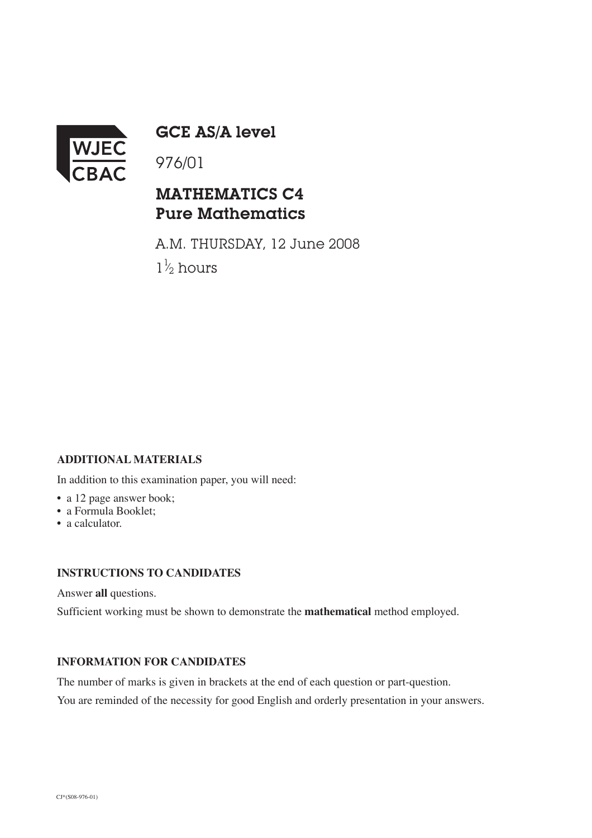

GCE AS/A level

## MATHEMATICS C4 Pure Mathematics

A.M. THURSDAY, 12 June 2008  $1\frac{1}{2}$  hours ∕∕

## **ADDITIONAL MATERIALS**

In addition to this examination paper, you will need:

- a 12 page answer book;
- a Formula Booklet;
- a calculator.

## **INSTRUCTIONS TO CANDIDATES**

Answer **all** questions.

Sufficient working must be shown to demonstrate the **mathematical** method employed.

## **INFORMATION FOR CANDIDATES**

The number of marks is given in brackets at the end of each question or part-question.

You are reminded of the necessity for good English and orderly presentation in your answers.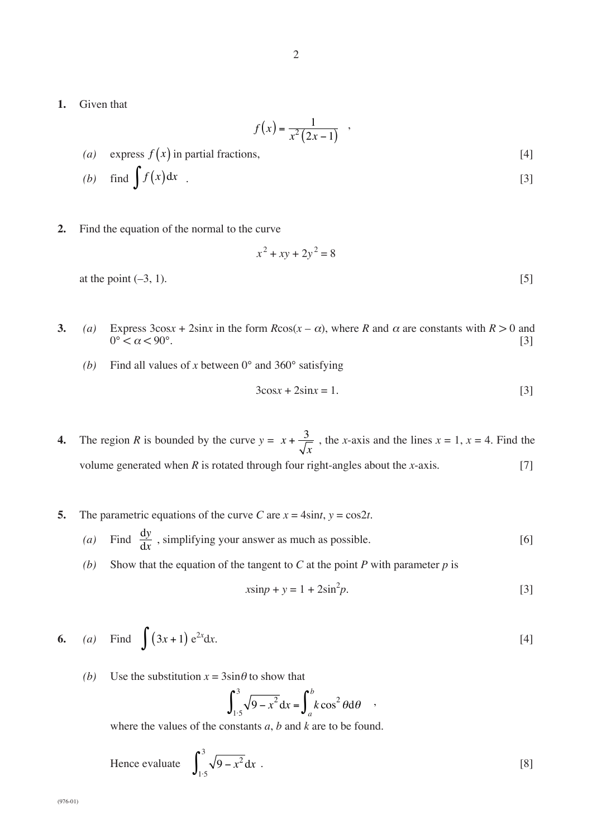**1.** Given that

$$
f(x) = \frac{1}{x^2(2x-1)} ,
$$

\n- (a) express 
$$
f(x)
$$
 in partial fractions,
\n- (b) find  $\int f(x) \, dx$ .
\n
\n[3]

**2.** Find the equation of the normal to the curve

$$
x^2 + xy + 2y^2 = 8
$$
  
at the point (-3, 1). [5]

- **3.** *(a)* Express 3cosx + 2sinx in the form  $R\cos(x \alpha)$ , where *R* and  $\alpha$  are constants with  $R > 0$  and  $0^{\circ} < \alpha < 90^{\circ}$ . [3]
	- *(b)* Find all values of *x* between 0° and 360° satisfying

$$
3\cos x + 2\sin x = 1.
$$
 [3]

- **4.** The region *R* is bounded by the curve  $y = x + \frac{3}{x}$ , the *x*-axis and the lines  $x = 1, x = 4$ . Find the volume generated when  $R$  is rotated through four right-angles about the *x*-axis.  $[7]$ *x*  $+\frac{3}{r}$
- **5.** The parametric equations of the curve *C* are  $x = 4\sin t$ ,  $y = \cos 2t$ .
	- (a) Find  $\frac{dy}{dx}$ , simplifying your answer as much as possible. [6] d *y x*
	- *(b)* Show that the equation of the tangent to  $C$  at the point  $P$  with parameter  $p$  is

$$
x\sin p + y = 1 + 2\sin^2 p.\tag{3}
$$

6. (a) Find 
$$
\int (3x+1) e^{2x} dx
$$
. [4]

*(b)* Use the substitution  $x = 3\sin\theta$  to show that

$$
\int_{1.5}^{3} \sqrt{9 - x^2} dx = \int_{a}^{b} k \cos^2 \theta d\theta ,
$$

where the values of the constants *a*, *b* and *k* are to be found.

Hence evaluate 
$$
\int_{1.5}^{3} \sqrt{9 - x^2} dx
$$
 [8]